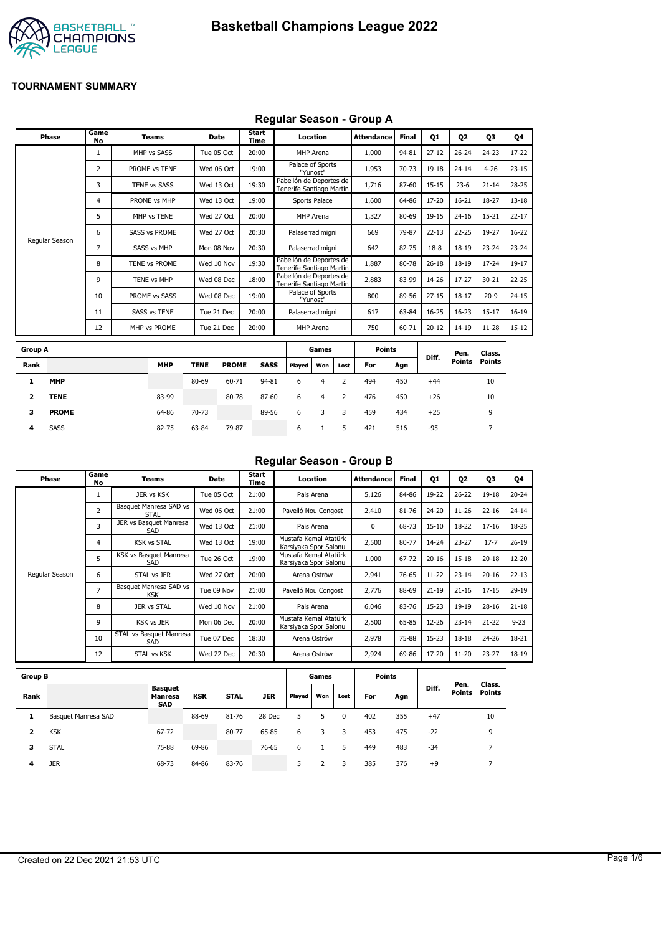

### **Regular Season - Group A**

| Phase           | Game<br>No     | <b>Teams</b>         |             | <b>Date</b>  | Start<br><b>Time</b> |                                                     | Location                     |                | <b>Attendance</b> | <b>Final</b> | Q1        | Q <sub>2</sub>        | 03                      | Q4        |
|-----------------|----------------|----------------------|-------------|--------------|----------------------|-----------------------------------------------------|------------------------------|----------------|-------------------|--------------|-----------|-----------------------|-------------------------|-----------|
|                 | 1              | MHP vs SASS          |             | Tue 05 Oct   | 20:00                |                                                     | MHP Arena                    |                | 1,000             | 94-81        | $27 - 12$ | $26 - 24$             | $24 - 23$               | 17-22     |
|                 | $\overline{2}$ | PROME vs TENE        |             | Wed 06 Oct   | 19:00                |                                                     | Palace of Sports<br>"Yunost" |                | 1,953             | 70-73        | 19-18     | $24 - 14$             | $4 - 26$                | $23 - 15$ |
|                 | 3              | <b>TENE vs SASS</b>  |             | Wed 13 Oct   | 19:30                | Pabellón de Deportes de<br>Tenerife Santiago Martin |                              |                | 1,716             | 87-60        | $15 - 15$ | $23 - 6$              | $21 - 14$               | 28-25     |
|                 | 4              | PROME vs MHP         |             | Wed 13 Oct   | 19:00                |                                                     | <b>Sports Palace</b>         |                | 1,600             | 64-86        | 17-20     | $16 - 21$             | 18-27                   | $13 - 18$ |
|                 | 5              | MHP vs TENE          |             | Wed 27 Oct   | 20:00                |                                                     | MHP Arena                    |                | 1,327             | 80-69        | 19-15     | $24 - 16$             | $15 - 21$               | $22 - 17$ |
|                 | 6              | <b>SASS vs PROME</b> |             | Wed 27 Oct   | 20:30                |                                                     | Palaserradimigni             |                | 669               | 79-87        | $22 - 13$ | $22 - 25$             | 19-27                   | $16 - 22$ |
| Regular Season  | 7              | SASS vs MHP          |             | Mon 08 Nov   | 20:30                |                                                     | Palaserradimigni             |                | 642               | 82-75        | $18-8$    | 18-19                 | $23 - 24$               | $23 - 24$ |
|                 | 8              | TENE vs PROME        |             | Wed 10 Nov   | 19:30                | Pabellón de Deportes de<br>Tenerife Santiago Martin |                              |                | 1,887             | 80-78        | $26 - 18$ | 18-19                 | $17 - 24$               | 19-17     |
|                 | 9              | <b>TENE vs MHP</b>   |             | Wed 08 Dec   | 18:00                | Pabellón de Deportes de<br>Tenerife Santiago Martin |                              |                | 2,883             | 83-99        | 14-26     | $17 - 27$             | $30 - 21$               | $22 - 25$ |
|                 | 10             | PROME vs SASS        |             | Wed 08 Dec   | 19:00                |                                                     | Palace of Sports<br>"Yunost" |                | 800               | 89-56        | $27 - 15$ | $18 - 17$             | $20 - 9$                | $24 - 15$ |
|                 | 11             | <b>SASS vs TENE</b>  |             | Tue 21 Dec   | 20:00                |                                                     | Palaserradimigni             |                | 617               | 63-84        | 16-25     | $16 - 23$             | $15 - 17$               | $16-19$   |
|                 | 12             | MHP vs PROME         |             | Tue 21 Dec   | 20:00                |                                                     | MHP Arena                    |                | 750               | 60-71        | $20 - 12$ | 14-19                 | $11 - 28$               | $15 - 12$ |
| <b>Group A</b>  |                |                      |             |              |                      |                                                     | Games                        |                | <b>Points</b>     |              |           |                       |                         |           |
|                 |                |                      |             |              |                      |                                                     |                              |                |                   |              | Diff.     | Pen.<br><b>Points</b> | Class.<br><b>Points</b> |           |
| Rank            |                | <b>MHP</b>           | <b>TENE</b> | <b>PROME</b> | <b>SASS</b>          | Played                                              | Won                          | Lost           | For               | Agn          |           |                       |                         |           |
| <b>MHP</b><br>1 |                |                      | 80-69       | 60-71        | 94-81                | 6                                                   | 4                            | $\overline{2}$ | 494               | 450          | $+44$     |                       | 10                      |           |

| iroup A      |              |            |             |              |             |        | Games |      | <b>Points</b> |     | Diff. | Pen.          | Class. |  |
|--------------|--------------|------------|-------------|--------------|-------------|--------|-------|------|---------------|-----|-------|---------------|--------|--|
| <b>Rank</b>  |              | <b>MHP</b> | <b>TENE</b> | <b>PROME</b> | <b>SASS</b> | Played | Won   | Lost | For           | Agn |       | <b>Points</b> | Points |  |
| 1.           | <b>MHP</b>   |            | 80-69       | 60-71        | 94-81       | 6      |       |      | 494           | 450 | $+44$ |               | 10     |  |
| $\mathbf{2}$ | <b>TENE</b>  | 83-99      |             | 80-78        | 87-60       | 6      | 4     |      | 476           | 450 | $+26$ |               | 10     |  |
| 3.           | <b>PROME</b> | 64-86      | 70-73       |              | 89-56       | 6      |       | 3    | 459           | 434 | $+25$ |               | 9      |  |
| 4            | <b>SASS</b>  | 82-75      | 63-84       | 79-87        |             | 6      |       |      | 421           | 516 | -95   |               |        |  |

### **Regular Season - Group B**

| Phase          | Game<br>No     | Teams                                 | Date       | Start<br>Time | Location                                       | <b>Attendance</b> | <b>Final</b> | <b>Q1</b> | 02        | 03        | 04        |
|----------------|----------------|---------------------------------------|------------|---------------|------------------------------------------------|-------------------|--------------|-----------|-----------|-----------|-----------|
|                |                | JER vs KSK                            | Tue 05 Oct | 21:00         | Pais Arena                                     | 5,126             | 84-86        | 19-22     | $26 - 22$ | 19-18     | $20 - 24$ |
|                | $\overline{2}$ | Basquet Manresa SAD vs<br><b>STAL</b> | Wed 06 Oct | 21:00         | Pavelló Nou Congost                            | 2,410             | 81-76        | 24-20     | $11 - 26$ | $22 - 16$ | $24 - 14$ |
|                | 3              | JER vs Basquet Manresa<br>SAD         | Wed 13 Oct | 21:00         | Pais Arena                                     | 0                 | 68-73        | $15 - 10$ | 18-22     | $17 - 16$ | 18-25     |
|                | 4              | <b>KSK vs STAL</b>                    | Wed 13 Oct | 19:00         | Mustafa Kemal Atatürk<br>Karsiyaka Spor Salonu | 2,500             | 80-77        | 14-24     | $23 - 27$ | $17 - 7$  | $26 - 19$ |
|                | 5              | KSK vs Basquet Manresa<br>SAD         | Tue 26 Oct | 19:00         | Mustafa Kemal Atatürk<br>Karsiyaka Spor Salonu | 1,000             | 67-72        | $20 - 16$ | $15 - 18$ | $20 - 18$ | 12-20     |
| Regular Season | 6              | STAL vs JER                           | Wed 27 Oct | 20:00         | Arena Ostrów                                   | 2,941             | 76-65        | $11 - 22$ | $23 - 14$ | $20 - 16$ | $22 - 13$ |
|                | $\overline{ }$ | Basquet Manresa SAD vs<br><b>KSK</b>  | Tue 09 Nov | 21:00         | Pavelló Nou Congost                            | 2,776             | 88-69        | $21 - 19$ | $21 - 16$ | $17 - 15$ | $29-19$   |
|                | 8              | JER vs STAL                           | Wed 10 Nov | 21:00         | Pais Arena                                     | 6,046             | 83-76        | $15 - 23$ | 19-19     | $28 - 16$ | $21 - 18$ |
|                | 9              | KSK vs JER                            | Mon 06 Dec | 20:00         | Mustafa Kemal Atatürk<br>Karsiyaka Spor Salonu | 2,500             | 65-85        | 12-26     | $23 - 14$ | $21 - 22$ | $9 - 23$  |
|                | 10             | STAL vs Basquet Manresa<br>SAD        | Tue 07 Dec | 18:30         | Arena Ostrów                                   | 2,978             | 75-88        | $15 - 23$ | $18 - 18$ | $24 - 26$ | 18-21     |
|                | 12             | STAL vs KSK                           | Wed 22 Dec | 20:30         | Arena Ostrów                                   | 2,924             | 69-86        | 17-20     | $11 - 20$ | $23 - 27$ | 18-19     |

| <b>Group B</b> |                     |                                                |            |             |            |        | Games |          | <b>Points</b> |     |       |                |                  |
|----------------|---------------------|------------------------------------------------|------------|-------------|------------|--------|-------|----------|---------------|-----|-------|----------------|------------------|
| Rank           |                     | <b>Basquet</b><br><b>Manresa</b><br><b>SAD</b> | <b>KSK</b> | <b>STAL</b> | <b>JER</b> | Played | Won   | Lost     | For           | Agn | Diff. | Pen.<br>Points | Class.<br>Points |
| л              | Basquet Manresa SAD |                                                | 88-69      | 81-76       | 28 Dec     | 5      | 5     | $\Omega$ | 402           | 355 | $+47$ |                | 10               |
| 2              | <b>KSK</b>          | 67-72                                          |            | 80-77       | 65-85      | 6      | 3     | 3        | 453           | 475 | $-22$ |                | 9                |
| з              | <b>STAL</b>         | 75-88                                          | 69-86      |             | 76-65      | 6      |       | 5        | 449           | 483 | $-34$ |                | -                |
| 4              | <b>JER</b>          | 68-73                                          | 84-86      | 83-76       |            | 5      |       | 3        | 385           | 376 | $+9$  |                |                  |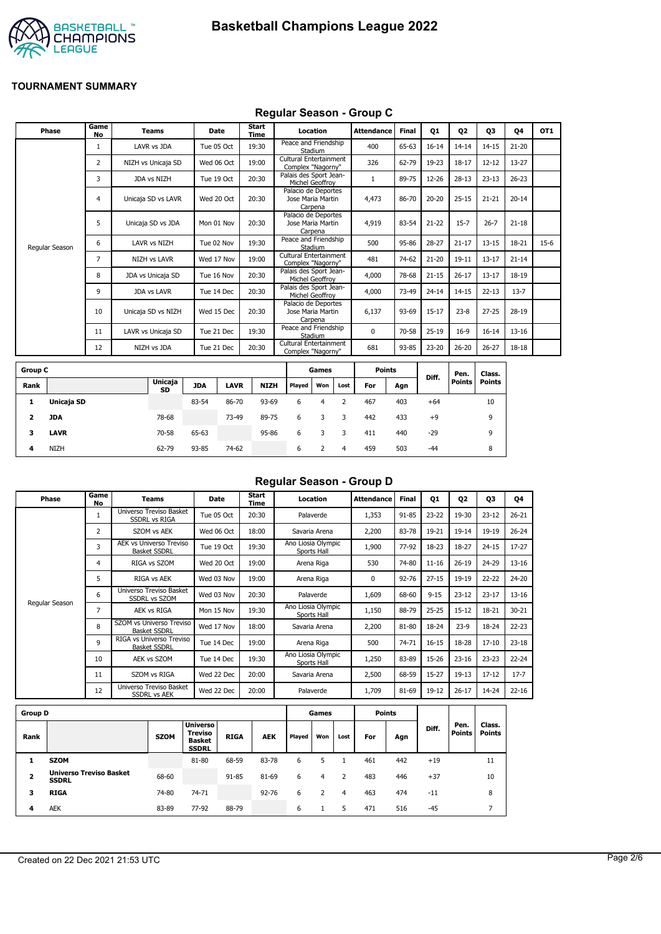



#### **Regular Season - Group C**

| Phase          | Game<br><b>No</b> | <b>Teams</b>        | Date       | Start<br>Time | Location                                            | <b>Attendance</b> | <b>Final</b> | Q1        | Q <sub>2</sub> | Q3        | Q4        | OT <sub>1</sub> |
|----------------|-------------------|---------------------|------------|---------------|-----------------------------------------------------|-------------------|--------------|-----------|----------------|-----------|-----------|-----------------|
|                | 1                 | LAVR vs JDA         | Tue 05 Oct | 19:30         | Peace and Friendship<br>Stadium                     | 400               | 65-63        | $16 - 14$ | $14 - 14$      | $14 - 15$ | $21 - 20$ |                 |
|                | 2                 | NIZH vs Unicaja SD  | Wed 06 Oct | 19:00         | Cultural Entertainment<br>Complex "Nagorny"         | 326               | 62-79        | 19-23     | $18 - 17$      | $12 - 12$ | 13-27     |                 |
|                | 3                 | JDA vs NIZH         | Tue 19 Oct | 20:30         | Palais des Sport Jean-<br>Michel Geoffroy           |                   | 89-75        | 12-26     | $28-13$        | $23 - 13$ | $26 - 23$ |                 |
|                | 4                 | Unicaja SD vs LAVR  | Wed 20 Oct | 20:30         | Palacio de Deportes<br>Jose Maria Martin<br>Carpena | 4,473             | 86-70        | $20 - 20$ | $25 - 15$      | $21 - 21$ | $20 - 14$ |                 |
|                | 5                 | Unicaja SD vs JDA   | Mon 01 Nov | 20:30         | Palacio de Deportes<br>Jose Maria Martin<br>Carpena | 4,919             | 83-54        | $21 - 22$ | $15 - 7$       | $26 - 7$  | $21 - 18$ |                 |
| Regular Season | 6                 | LAVR vs NIZH        | Tue 02 Nov | 19:30         | Peace and Friendship<br>Stadium                     | 500               | 95-86        | $28 - 27$ | $21 - 17$      | $13 - 15$ | 18-21     | $15-6$          |
|                | $\overline{7}$    | <b>NIZH vs LAVR</b> | Wed 17 Nov | 19:00         | Cultural Entertainment<br>Complex "Nagorny"         | 481               | 74-62        | $21 - 20$ | $19 - 11$      | $13 - 17$ | $21 - 14$ |                 |
|                | 8                 | JDA vs Unicaja SD   | Tue 16 Nov | 20:30         | Palais des Sport Jean-<br>Michel Geoffroy           | 4,000             | 78-68        | $21 - 15$ | $26 - 17$      | $13 - 17$ | 18-19     |                 |
|                | 9                 | <b>JDA vs LAVR</b>  | Tue 14 Dec | 20:30         | Palais des Sport Jean-<br>Michel Geoffrov           | 4,000             | 73-49        | $24 - 14$ | $14 - 15$      | $22 - 13$ | $13 - 7$  |                 |
|                | 10                | Unicaja SD vs NIZH  | Wed 15 Dec | 20:30         | Palacio de Deportes<br>Jose Maria Martin<br>Carpena | 6,137             | 93-69        | $15 - 17$ | $23 - 8$       | $27 - 25$ | 28-19     |                 |
|                | 11                | LAVR vs Unicaja SD  | Tue 21 Dec | 19:30         | Peace and Friendship<br>Stadium                     | $\Omega$          | 70-58        | $25-19$   | $16-9$         | $16 - 14$ | $13 - 16$ |                 |
|                | 12                | NIZH vs JDA         | Tue 21 Dec | 20:30         | Cultural Entertainment<br>Complex "Nagorny"         | 681               | 93-85        | 23-20     | $26 - 20$      | $26 - 27$ | 18-18     |                 |
|                |                   |                     |            |               |                                                     |                   |              |           |                |           |           |                 |

| <b>Group C</b> |             |                      |            |             |             |        | Games |      | <b>Points</b> |     |       | Pen.   | Class. |
|----------------|-------------|----------------------|------------|-------------|-------------|--------|-------|------|---------------|-----|-------|--------|--------|
| Rank           |             | <b>Unicaja</b><br>SD | <b>JDA</b> | <b>LAVR</b> | <b>NIZH</b> | Played | Won   | Lost | For           | Agn | Diff. | Points | Points |
| л.             | Unicaja SD  |                      | 83-54      | 86-70       | 93-69       | 6      | 4     |      | 467           | 403 | $+64$ |        | 10     |
| 2              | JDA         | 78-68                |            | 73-49       | 89-75       | 6      | 3     | 3    | 442           | 433 | $+9$  |        | 9      |
| 3              | <b>LAVR</b> | 70-58                | 65-63      |             | 95-86       | 6      |       |      | 411           | 440 | $-29$ |        | 9      |
| 4              | <b>NIZH</b> | 62-79                | 93-85      | 74-62       |             | 6      |       | 4    | 459           | 503 | $-44$ |        | 8      |

# **Regular Season - Group D**

| Phase          | Game<br>No     | Teams                                                 | <b>Date</b> | Start<br>Time | Location                          | <b>Attendance</b> | Final     | Q1        | 02        | 03        | Q4        |
|----------------|----------------|-------------------------------------------------------|-------------|---------------|-----------------------------------|-------------------|-----------|-----------|-----------|-----------|-----------|
|                | 1              | Universo Treviso Basket<br><b>SSDRL vs RIGA</b>       | Tue 05 Oct  | 20:30         | Palaverde                         | 1,353             | 91-85     | $23 - 22$ | 19-30     | $23 - 12$ | $26 - 21$ |
|                | $\overline{2}$ | SZOM vs AEK                                           | Wed 06 Oct  | 18:00         | Savaria Arena                     | 2,200             | 83-78     | 19-21     | $19 - 14$ | 19-19     | $26 - 24$ |
|                | 3              | <b>AEK vs Universo Treviso</b><br><b>Basket SSDRL</b> | Tue 19 Oct  | 19:30         | Ano Liosia Olympic<br>Sports Hall | 1,900             | 77-92     | 18-23     | 18-27     | $24 - 15$ | $17 - 27$ |
|                | 4              | RIGA vs SZOM                                          | Wed 20 Oct  | 19:00         | Arena Riga                        | 530               | 74-80     | $11 - 16$ | $26 - 19$ | 24-29     | $13 - 16$ |
|                | 5              | RIGA vs AEK                                           | Wed 03 Nov  | 19:00         | Arena Riga                        | 0                 | $92 - 76$ | $27 - 15$ | 19-19     | $22 - 22$ | 24-20     |
|                | 6              | Universo Treviso Basket<br><b>SSDRL vs SZOM</b>       | Wed 03 Nov  | 20:30         | Palaverde                         | 1,609             | 68-60     | $9 - 15$  | $23 - 12$ | $23 - 17$ | $13 - 16$ |
| Regular Season | 7              | AEK vs RIGA                                           | Mon 15 Nov  | 19:30         | Ano Liosia Olympic<br>Sports Hall | 1,150             | 88-79     | $25 - 25$ | $15 - 12$ | 18-21     | $30 - 21$ |
|                | 8              | SZOM vs Universo Treviso<br><b>Basket SSDRL</b>       | Wed 17 Nov  | 18:00         | Savaria Arena                     | 2,200             | 81-80     | 18-24     | $23-9$    | 18-24     | $22 - 23$ |
|                | 9              | RIGA vs Universo Treviso<br><b>Basket SSDRL</b>       | Tue 14 Dec  | 19:00         | Arena Riga                        | 500               | 74-71     | $16 - 15$ | 18-28     | $17 - 10$ | $23 - 18$ |
|                | 10             | AEK vs SZOM                                           | Tue 14 Dec  | 19:30         | Ano Liosia Olympic<br>Sports Hall | 1,250             | 83-89     | 15-26     | $23 - 16$ | $23 - 23$ | $22 - 24$ |
|                | 11             | SZOM vs RIGA                                          | Wed 22 Dec  | 20:00         | Savaria Arena                     | 2,500             | 68-59     | $15 - 27$ | $19-13$   | $17 - 12$ | $17 - 7$  |
|                | 12             | Universo Treviso Basket<br><b>SSDRL vs AEK</b>        | Wed 22 Dec  | 20:00         | Palaverde                         | 1,709             | 81-69     | 19-12     | $26 - 17$ | 14-24     | $22 - 16$ |
|                |                |                                                       |             |               |                                   |                   |           |           |           |           |           |

| <b>Group D</b> |                                                |             |                                                             |             |            |        | Games |      |     | Points |       |                       |                         |
|----------------|------------------------------------------------|-------------|-------------------------------------------------------------|-------------|------------|--------|-------|------|-----|--------|-------|-----------------------|-------------------------|
| Rank           |                                                | <b>SZOM</b> | <b>Universo</b><br>Treviso<br><b>Basket</b><br><b>SSDRL</b> | <b>RIGA</b> | <b>AEK</b> | Played | Won   | Lost | For | Agn    | Diff. | Pen.<br><b>Points</b> | Class.<br><b>Points</b> |
|                | <b>SZOM</b>                                    |             | 81-80                                                       | 68-59       | 83-78      | 6      |       |      | 461 | 442    | $+19$ |                       | 11                      |
| 2              | <b>Universo Treviso Basket</b><br><b>SSDRL</b> | 68-60       |                                                             | 91-85       | 81-69      | 6      | 4     |      | 483 | 446    | $+37$ |                       | 10                      |
| 3              | <b>RIGA</b>                                    | 74-80       | 74-71                                                       |             | $92 - 76$  | 6      |       | 4    | 463 | 474    | $-11$ |                       | 8                       |
| 4              | <b>AEK</b>                                     | 83-89       | 77-92                                                       | 88-79       |            | 6      |       | 5    | 471 | 516    | $-45$ |                       |                         |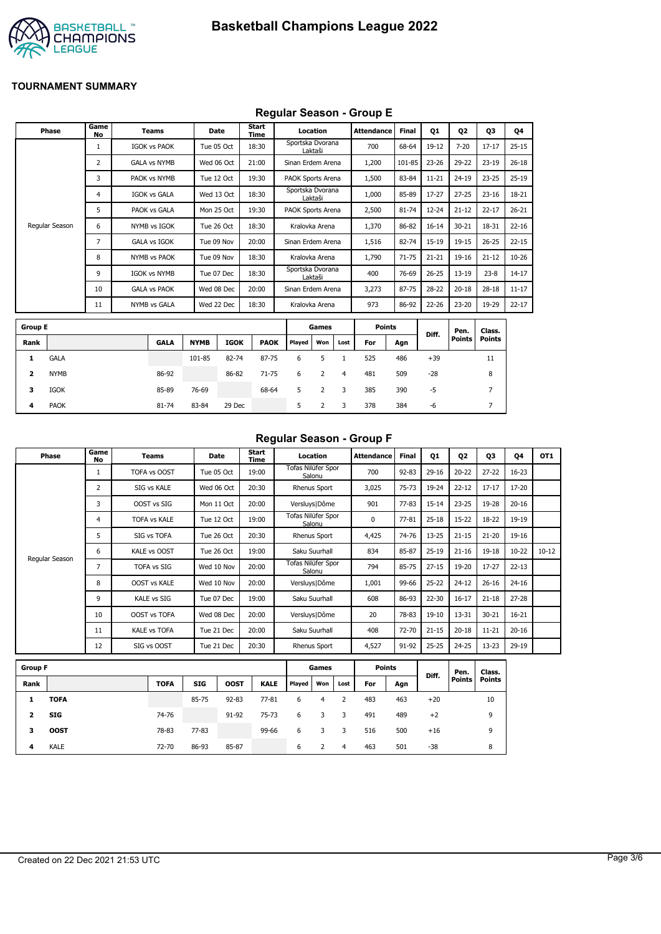

## **Regular Season - Group E**

|                | Phase          | Game<br>No | <b>Teams</b>        |             | Date        | Start<br>Time |        | Location                    |                | <b>Attendance</b> | Final     | Q1        | 02            | 03            | Q4        |
|----------------|----------------|------------|---------------------|-------------|-------------|---------------|--------|-----------------------------|----------------|-------------------|-----------|-----------|---------------|---------------|-----------|
|                |                | 1          | <b>IGOK vs PAOK</b> |             | Tue 05 Oct  | 18:30         |        | Sportska Dvorana<br>Laktaši |                | 700               | 68-64     | 19-12     | $7 - 20$      | $17 - 17$     | $25 - 15$ |
|                |                | 2          | <b>GALA vs NYMB</b> |             | Wed 06 Oct  | 21:00         |        | Sinan Erdem Arena           |                | 1,200             | 101-85    | $23 - 26$ | 29-22         | $23-19$       | $26 - 18$ |
|                |                | 3          | PAOK vs NYMB        |             | Tue 12 Oct  | 19:30         |        | PAOK Sports Arena           |                | 1,500             | 83-84     | $11 - 21$ | 24-19         | $23 - 25$     | $25 - 19$ |
|                |                | 4          | <b>IGOK vs GALA</b> |             | Wed 13 Oct  | 18:30         |        | Sportska Dvorana<br>Laktaši |                | 1,000             | 85-89     | 17-27     | $27 - 25$     | $23 - 16$     | 18-21     |
|                |                | 5          | PAOK vs GALA        |             | Mon 25 Oct  | 19:30         |        | PAOK Sports Arena           |                | 2,500             | $81 - 74$ | $12 - 24$ | $21 - 12$     | $22 - 17$     | $26 - 21$ |
|                | Regular Season | 6          | NYMB vs IGOK        |             | Tue 26 Oct  | 18:30         |        | Kralovka Arena              |                | 1,370             | 86-82     | $16 - 14$ | $30 - 21$     | 18-31         | $22 - 16$ |
|                |                | 7          | <b>GALA vs IGOK</b> |             | Tue 09 Nov  | 20:00         |        | Sinan Erdem Arena           |                | 1,516             | 82-74     | 15-19     | $19 - 15$     | $26 - 25$     | $22 - 15$ |
|                |                | 8          | NYMB vs PAOK        |             | Tue 09 Nov  | 18:30         |        | Kralovka Arena              |                | 1,790             | $71 - 75$ | $21 - 21$ | 19-16         | $21 - 12$     | $10 - 26$ |
|                |                | 9          | <b>IGOK vs NYMB</b> |             | Tue 07 Dec  | 18:30         |        | Sportska Dvorana<br>Laktaši |                | 400               | 76-69     | $26 - 25$ | $13 - 19$     | $23 - 8$      | $14 - 17$ |
|                |                | 10         | <b>GALA vs PAOK</b> |             | Wed 08 Dec  | 20:00         |        | Sinan Erdem Arena           |                | 3,273             | 87-75     | 28-22     | $20 - 18$     | $28-18$       | $11 - 17$ |
|                |                | 11         | <b>NYMB vs GALA</b> |             | Wed 22 Dec  | 18:30         |        | Kralovka Arena              |                | 973               | 86-92     | 22-26     | $23 - 20$     | 19-29         | $22 - 17$ |
| <b>Group E</b> |                |            |                     |             |             |               |        | Games                       |                | <b>Points</b>     |           |           | Pen.          | Class.        |           |
| Rank           |                |            | <b>GALA</b>         | <b>NYMB</b> | <b>IGOK</b> | <b>PAOK</b>   | Played | Won                         | Lost           | For               | Agn       | Diff.     | <b>Points</b> | <b>Points</b> |           |
| 1              | <b>GALA</b>    |            |                     | 101-85      | 82-74       | 87-75         | 6      | 5                           | $\mathbf{1}$   | 525               | 486       | $+39$     |               | 11            |           |
| 2              | <b>NYMB</b>    |            | 86-92               |             | 86-82       | $71 - 75$     | 6      | 2                           | $\overline{4}$ | 481               | 509       | $-28$     |               | 8             |           |
| 3              | <b>IGOK</b>    |            | 85-89               | 76-69       |             | 68-64         | 5      | 2                           | 3              | 385               | 390       | $-5$      |               | 7             |           |
| 4              | <b>PAOK</b>    |            | 81-74               | 83-84       | 29 Dec      |               | 5      | 2                           | 3              | 378               | 384       | -6        |               | 7             |           |

# **Regular Season - Group F**

| Phase          | Game<br>No | Teams               | Date       | Start<br>Time | Location                     | Attendance | <b>Final</b> | Q1        | Q <sub>2</sub> | 03        | 04        | OT <sub>1</sub> |
|----------------|------------|---------------------|------------|---------------|------------------------------|------------|--------------|-----------|----------------|-----------|-----------|-----------------|
|                |            | TOFA vs OOST        | Tue 05 Oct | 19:00         | Tofas Nilüfer Spor<br>Salonu | 700        | $92 - 83$    | $29-16$   | $20 - 22$      | $27 - 22$ | $16 - 23$ |                 |
|                | 2          | SIG vs KALE         | Wed 06 Oct | 20:30         | Rhenus Sport                 | 3,025      | $75 - 73$    | 19-24     | $22 - 12$      | $17 - 17$ | 17-20     |                 |
|                | 3          | OOST vs SIG         | Mon 11 Oct | 20:00         | Versluys   Dôme              | 901        | $77 - 83$    | $15 - 14$ | $23 - 25$      | 19-28     | $20 - 16$ |                 |
|                | 4          | <b>TOFA vs KALE</b> | Tue 12 Oct | 19:00         | Tofas Nilüfer Spor<br>Salonu | $\Omega$   | $77 - 81$    | $25 - 18$ | $15-22$        | $18 - 22$ | 19-19     |                 |
|                | 5          | SIG vs TOFA         | Tue 26 Oct | 20:30         | Rhenus Sport                 | 4,425      | 74-76        | $13 - 25$ | $21 - 15$      | $21 - 20$ | 19-16     |                 |
| Regular Season | 6          | <b>KALE vs OOST</b> | Tue 26 Oct | 19:00         | Saku Suurhall                | 834        | 85-87        | $25-19$   | $21 - 16$      | $19 - 18$ | $10 - 22$ | $10 - 12$       |
|                | 7          | <b>TOFA vs SIG</b>  | Wed 10 Nov | 20:00         | Tofas Nilüfer Spor<br>Salonu | 794        | 85-75        | $27 - 15$ | 19-20          | $17 - 27$ | $22 - 13$ |                 |
|                | 8          | <b>OOST vs KALE</b> | Wed 10 Nov | 20:00         | Versluys   Dôme              | 1,001      | 99-66        | $25 - 22$ | $24 - 12$      | $26 - 16$ | $24 - 16$ |                 |
|                | 9          | <b>KALE vs SIG</b>  | Tue 07 Dec | 19:00         | Saku Suurhall                | 608        | 86-93        | $22 - 30$ | $16 - 17$      | $21 - 18$ | $27 - 28$ |                 |
|                | 10         | <b>OOST vs TOFA</b> | Wed 08 Dec | 20:00         | Versluys   Dôme              | 20         | 78-83        | $19-10$   | 13-31          | $30 - 21$ | $16 - 21$ |                 |
|                | 11         | <b>KALE vs TOFA</b> | Tue 21 Dec | 20:00         | Saku Suurhall                | 408        | 72-70        | $21 - 15$ | $20 - 18$      | $11 - 21$ | $20 - 16$ |                 |
|                | 12         | SIG vs OOST         | Tue 21 Dec | 20:30         | Rhenus Sport                 | 4,527      | 91-92        | $25 - 25$ | $24 - 25$      | $13 - 23$ | 29-19     |                 |

| <b>Group F</b> |             |             |            |             |             |        | Games |      | <b>Points</b> |     | Diff. | Pen.          | Class.        |
|----------------|-------------|-------------|------------|-------------|-------------|--------|-------|------|---------------|-----|-------|---------------|---------------|
| Rank           |             | <b>TOFA</b> | <b>SIG</b> | <b>OOST</b> | <b>KALE</b> | Played | Won   | Lost | For           | Agn |       | <b>Points</b> | <b>Points</b> |
|                | <b>TOFA</b> |             | 85-75      | $92 - 83$   | $77 - 81$   | 6      | 4     |      | 483           | 463 | $+20$ |               | 10            |
| 2              | SIG         | 74-76       |            | 91-92       | 75-73       | 6      | 3     | 3    | 491           | 489 | $+2$  |               | 9             |
| з              | <b>OOST</b> | 78-83       | $77 - 83$  |             | 99-66       | 6      |       | 3    | 516           | 500 | $+16$ |               | 9             |
| 4              | <b>KALE</b> | 72-70       | 86-93      | 85-87       |             | 6      |       | 4    | 463           | 501 | -38   |               | 8             |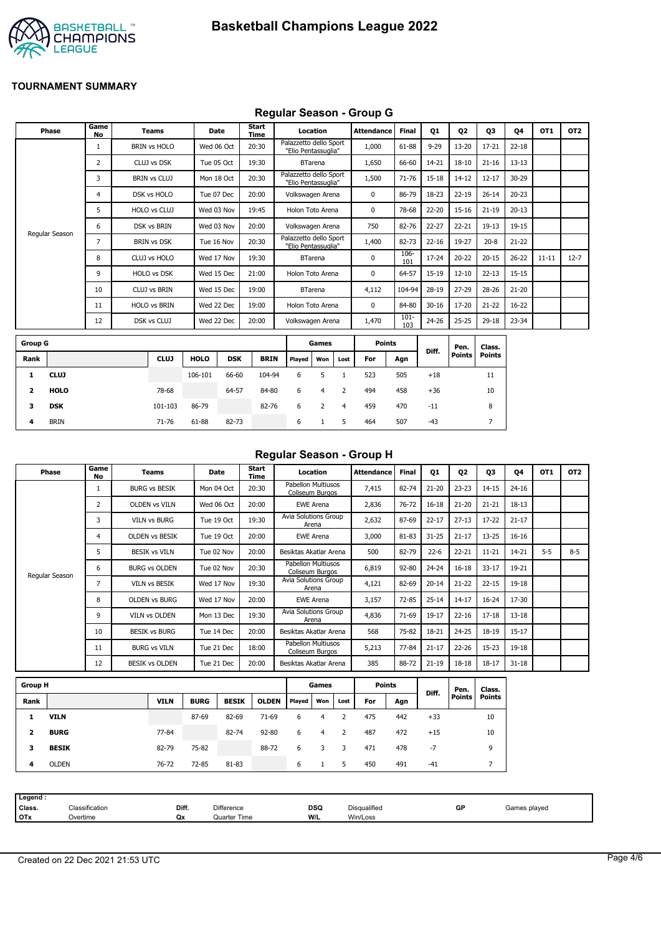

## **Regular Season - Group G**

| <b>Phase</b>     | Game<br>No | <b>Teams</b>        | Date        |            | <b>Start</b><br>Time |                                               | Location       |      | <b>Attendance</b> | <b>Final</b>   | <b>Q1</b> | 02            | Q3            | 04        | OT <sub>1</sub> | OT <sub>2</sub> |
|------------------|------------|---------------------|-------------|------------|----------------------|-----------------------------------------------|----------------|------|-------------------|----------------|-----------|---------------|---------------|-----------|-----------------|-----------------|
|                  |            | <b>BRIN vs HOLO</b> | Wed 06 Oct  |            | 20:30                | Palazzetto dello Sport<br>"Elio Pentassuglia" |                |      | 1,000             | 61-88          | $9 - 29$  | $13 - 20$     | $17 - 21$     | $22 - 18$ |                 |                 |
|                  | 2          | CLUJ vs DSK         | Tue 05 Oct  |            | 19:30                |                                               | <b>BTarena</b> |      | 1,650             | 66-60          | $14 - 21$ | $18 - 10$     | $21 - 16$     | $13 - 13$ |                 |                 |
|                  | 3          | <b>BRIN vs CLUJ</b> | Mon 18 Oct  |            | 20:30                | Palazzetto dello Sport<br>"Elio Pentassuglia" |                |      | 1,500             | $71 - 76$      | 15-18     | $14 - 12$     | $12 - 17$     | 30-29     |                 |                 |
|                  | 4          | DSK vs HOLO         | Tue 07 Dec  |            | 20:00                | Volkswagen Arena                              |                |      | 0                 | 86-79          | 18-23     | $22 - 19$     | $26 - 14$     | $20 - 23$ |                 |                 |
|                  | 5.         | <b>HOLO vs CLUJ</b> | Wed 03 Nov  |            | 19:45                | Holon Toto Arena                              |                |      | 0                 | 78-68          | 22-20     | $15 - 16$     | $21 - 19$     | $20 - 13$ |                 |                 |
|                  | 6          | <b>DSK vs BRIN</b>  | Wed 03 Nov  |            | 20:00                | Volkswagen Arena                              |                |      | 750               | 82-76          | $22 - 27$ | $22 - 21$     | $19-13$       | 19-15     |                 |                 |
| Regular Season   | 7          | <b>BRIN vs DSK</b>  | Tue 16 Nov  |            | 20:30                | Palazzetto dello Sport<br>"Elio Pentassuglia" |                |      | 1,400             | 82-73          | $22 - 16$ | 19-27         | $20 - 8$      | $21 - 22$ |                 |                 |
|                  | 8          | CLUJ vs HOLO        | Wed 17 Nov  |            | 19:30                |                                               | <b>BTarena</b> |      | $\mathbf 0$       | 106-<br>101    | 17-24     | $20 - 22$     | $20 - 15$     | $26 - 22$ | $11 - 11$       | $12 - 7$        |
|                  | 9          | <b>HOLO vs DSK</b>  | Wed 15 Dec  |            | 21:00                | Holon Toto Arena                              |                |      | 0                 | 64-57          | 15-19     | $12 - 10$     | $22 - 13$     | $15 - 15$ |                 |                 |
|                  | 10         | <b>CLUJ vs BRIN</b> | Wed 15 Dec  |            | 19:00                |                                               | <b>BTarena</b> |      | 4,112             | 104-94         | 28-19     | $27 - 29$     | 28-26         | $21 - 20$ |                 |                 |
|                  | 11         | <b>HOLO vs BRIN</b> | Wed 22 Dec  |            | 19:00                | Holon Toto Arena                              |                |      | $\mathbf 0$       | 84-80          | $30 - 16$ | 17-20         | $21 - 22$     | $16 - 22$ |                 |                 |
|                  | 12         | DSK vs CLUJ         | Wed 22 Dec  |            | 20:00                | Volkswagen Arena                              |                |      | 1,470             | $101 -$<br>103 | 24-26     | $25 - 25$     | $29 - 18$     | 23-34     |                 |                 |
| <b>Group G</b>   |            |                     |             |            |                      |                                               | Games          |      | <b>Points</b>     |                |           | Pen.          | Class.        |           |                 |                 |
| Rank             |            | <b>CLUJ</b>         | <b>HOLO</b> | <b>DSK</b> | <b>BRIN</b>          | Played                                        | Won            | Lost | For               | Agn            | Diff.     | <b>Points</b> | <b>Points</b> |           |                 |                 |
| <b>CLUJ</b><br>1 |            |                     | 106-101     | 66-60      | 104-94               | 6                                             | 5              |      | 523               | 505            | $+18$     |               | 11            |           |                 |                 |

| Regular Season - Group H |  |  |
|--------------------------|--|--|
|                          |  |  |

| Phase          | Game<br>No | Teams                 | Date       | Start<br>Time | Location<br><b>Attendance</b>         |       | <b>Final</b> | Q1        | Q <sub>2</sub> | Q3        | Q4        | OT <sub>1</sub> | OT <sub>2</sub> |
|----------------|------------|-----------------------|------------|---------------|---------------------------------------|-------|--------------|-----------|----------------|-----------|-----------|-----------------|-----------------|
|                |            | <b>BURG vs BESIK</b>  | Mon 04 Oct | 20:30         | Pabellon Multiusos<br>Coliseum Burgos | 7,415 | 82-74        | $21 - 20$ | $23 - 23$      | $14 - 15$ | $24 - 16$ |                 |                 |
|                | 2          | <b>OLDEN vs VILN</b>  | Wed 06 Oct | 20:00         | <b>EWE Arena</b>                      | 2,836 | 76-72        | $16 - 18$ | $21 - 20$      | $21 - 21$ | $18 - 13$ |                 |                 |
|                | 3          | <b>VILN vs BURG</b>   | Tue 19 Oct | 19:30         | Avia Solutions Group<br>Arena         | 2,632 | 87-69        | $22 - 17$ | $27 - 13$      | $17 - 22$ | $21 - 17$ |                 |                 |
|                | 4          | <b>OLDEN vs BESIK</b> | Tue 19 Oct | 20:00         | <b>EWE Arena</b>                      | 3,000 | 81-83        | $31 - 25$ | $21 - 17$      | $13 - 25$ | $16 - 16$ |                 |                 |
|                | 5          | <b>BESIK vs VILN</b>  | Tue 02 Nov | 20:00         | Besiktas Akatlar Arena                | 500   | 82-79        | $22 - 6$  | $22 - 21$      | $11 - 21$ | 14-21     | $5 - 5$         | $8 - 5$         |
|                | 6          | <b>BURG vs OLDEN</b>  | Tue 02 Nov | 20:30         | Pabellon Multiusos<br>Coliseum Burgos | 6,819 | $92 - 80$    | $24 - 24$ | $16 - 18$      | $33 - 17$ | 19-21     |                 |                 |
| Regular Season | 7          | <b>VILN vs BESIK</b>  | Wed 17 Nov | 19:30         | Avia Solutions Group<br>Arena         | 4,121 | 82-69        | $20 - 14$ | $21 - 22$      | $22 - 15$ | 19-18     |                 |                 |
|                | 8          | <b>OLDEN vs BURG</b>  | Wed 17 Nov | 20:00         | <b>EWE Arena</b>                      | 3,157 | $72 - 85$    | $25 - 14$ | $14 - 17$      | $16 - 24$ | 17-30     |                 |                 |
|                | 9          | <b>VILN vs OLDEN</b>  | Mon 13 Dec | 19:30         | Avia Solutions Group<br>Arena         | 4,836 | 71-69        | 19-17     | $22 - 16$      | $17 - 18$ | $13 - 18$ |                 |                 |
|                | 10         | <b>BESIK vs BURG</b>  | Tue 14 Dec | 20:00         | Besiktas Akatlar Arena                | 568   | 75-82        | 18-21     | $24 - 25$      | 18-19     | $15 - 17$ |                 |                 |
|                | 11         | <b>BURG vs VILN</b>   | Tue 21 Dec | 18:00         | Pabellon Multiusos<br>Coliseum Burgos | 5,213 | 77-84        | $21 - 17$ | $22 - 26$      | $15 - 23$ | 19-18     |                 |                 |
|                | 12         | <b>BESIK vs OLDEN</b> | Tue 21 Dec | 20:00         | Besiktas Akatlar Arena                | 385   | 88-72        | $21-19$   | $18 - 18$      | $18 - 17$ | $31 - 18$ |                 |                 |

| <b>Group H</b> |              |             |             |              |              | Games  |     |      | <b>Points</b> |     |       | Pen.          | Class.        |
|----------------|--------------|-------------|-------------|--------------|--------------|--------|-----|------|---------------|-----|-------|---------------|---------------|
| Rank           |              | <b>VILN</b> | <b>BURG</b> | <b>BESIK</b> | <b>OLDEN</b> | Played | Won | Lost | For           | Agn | Diff. | <b>Points</b> | <b>Points</b> |
|                | <b>VILN</b>  |             | 87-69       | 82-69        | $71-69$      | 6      | 4   |      | 475           | 442 | $+33$ |               | 10            |
| 2              | <b>BURG</b>  | 77-84       |             | 82-74        | $92 - 80$    | 6      | 4   | 2    | 487           | 472 | $+15$ |               | 10            |
| з              | <b>BESIK</b> | 82-79       | 75-82       |              | 88-72        | 6      | 3   |      | 471           | 478 | $-7$  |               | 9             |
| 4              | <b>OLDEN</b> | 76-72       | 72-85       | 81-83        |              | 6      |     |      | 450           | 491 | $-41$ |               |               |

**2 HOLO** 78-68 64-57 84-80 6 4 2 494 458 +36 10 **3 DSK** 101-103 86-79 82-76 6 2 4 459 470 -11 8 **4** BRIN 71-76 61-88 82-73 6 1 5 464 507 -43 7

| Legend :   |                |       |              |            |              |    |              |  |
|------------|----------------|-------|--------------|------------|--------------|----|--------------|--|
| Class.     | Classification | Diff. | Difference   | <b>DSQ</b> | Disqualified | GP | Games played |  |
| <b>OTx</b> | Overtime       | Qx    | Quarter Time | W/L        | Win/Loss     |    |              |  |
|            |                |       |              |            |              |    |              |  |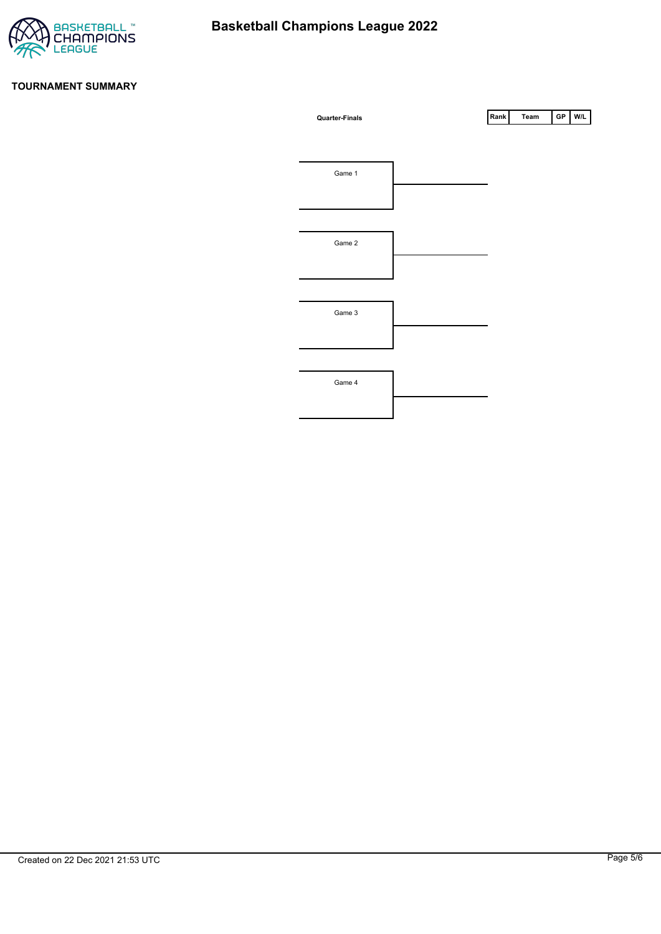